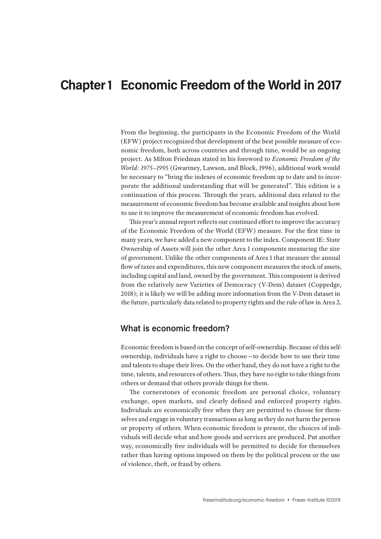# **Chapter 1 Economic Freedom of the World in 2017**

From the beginning, the participants in the Economic Freedom of the World (EFW) project recognized that development of the best possible measure of economic freedom, both across countries and through time, would be an ongoing project. As Milton Friedman stated in his foreword to *Economic Freedom of the World: 1975–1995* (Gwartney, Lawson, and Block, 1996), additional work would be necessary to "bring the indexes of economic freedom up to date and to incorporate the additional understanding that will be generated". This edition is a continuation of this process. Through the years, additional data related to the measurement of economic freedom has become available and insights about how to use it to improve the measurement of economic freedom has evolved.

This year's annual report reflects our continued effort to improve the accuracy of the Economic Freedom of the World (EFW) measure. For the first time in many years, we have added a new component to the index. Component 1E: State Ownership of Assets will join the other Area 1 components measuring the size of government. Unlike the other components of Area 1 that measure the annual flow of taxes and expenditures, this new component measures the stock of assets, including capital and land, owned by the government. This component is derived from the relatively new Varieties of Democracy (V-Dem) dataset (Coppedge, 2018); it is likely we will be adding more information from the V-Dem dataset in the future, particularly data related to property rights and the rule of law in Area 2.

#### **What is economic freedom?**

Economic freedom is based on the concept of self-ownership. Because of this selfownership, individuals have a right to choose—to decide how to use their time and talents to shape their lives. On the other hand, they do not have a right to the time, talents, and resources of others. Thus, they have no right to take things from others or demand that others provide things for them.

The cornerstones of economic freedom are personal choice, voluntary exchange, open markets, and clearly defined and enforced property rights. Individuals are economically free when they are permitted to choose for themselves and engage in voluntary transactions as long as they do not harm the person or property of others. When economic freedom is present, the choices of individuals will decide what and how goods and services are produced. Put another way, economically free individuals will be permitted to decide for themselves rather than having options imposed on them by the political process or the use of violence, theft, or fraud by others.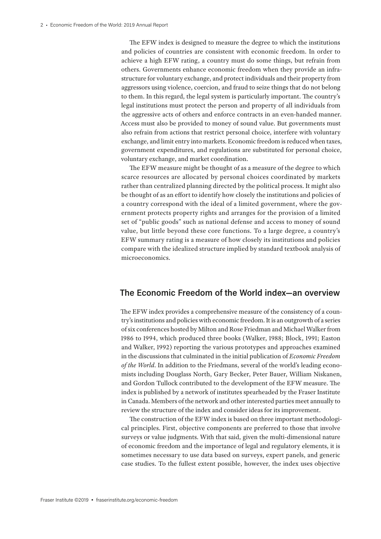The EFW index is designed to measure the degree to which the institutions and policies of countries are consistent with economic freedom. In order to achieve a high EFW rating, a country must do some things, but refrain from others. Governments enhance economic freedom when they provide an infrastructure for voluntary exchange, and protect individuals and their property from aggressors using violence, coercion, and fraud to seize things that do not belong to them. In this regard, the legal system is particularly important. The country's legal institutions must protect the person and property of all individuals from the aggressive acts of others and enforce contracts in an even-handed manner. Access must also be provided to money of sound value. But governments must also refrain from actions that restrict personal choice, interfere with voluntary exchange, and limit entry into markets. Economic freedom is reduced when taxes, government expenditures, and regulations are substituted for personal choice, voluntary exchange, and market coordination.

The EFW measure might be thought of as a measure of the degree to which scarce resources are allocated by personal choices coordinated by markets rather than centralized planning directed by the political process. It might also be thought of as an effort to identify how closely the institutions and policies of a country correspond with the ideal of a limited government, where the government protects property rights and arranges for the provision of a limited set of "public goods" such as national defense and access to money of sound value, but little beyond these core functions. To a large degree, a country's EFW summary rating is a measure of how closely its institutions and policies compare with the idealized structure implied by standard textbook analysis of microeconomics.

### **The Economic Freedom of the World index—an overview**

The EFW index provides a comprehensive measure of the consistency of a country's institutions and policies with economic freedom. It is an outgrowth of a series of six conferences hosted by Milton and Rose Friedman and Michael Walker from 1986 to 1994, which produced three books (Walker, 1988; Block, 1991; Easton and Walker, 1992) reporting the various prototypes and approaches examined in the discussions that culminated in the initial publication of *Economic Freedom of the World*. In addition to the Friedmans, several of the world's leading economists including Douglass North, Gary Becker, Peter Bauer, William Niskanen, and Gordon Tullock contributed to the development of the EFW measure. The index is published by a network of institutes spearheaded by the Fraser Institute in Canada. Members of the network and other interested parties meet annually to review the structure of the index and consider ideas for its improvement.

The construction of the EFW index is based on three important methodological principles. First, objective components are preferred to those that involve surveys or value judgments. With that said, given the multi-dimensional nature of economic freedom and the importance of legal and regulatory elements, it is sometimes necessary to use data based on surveys, expert panels, and generic case studies. To the fullest extent possible, however, the index uses objective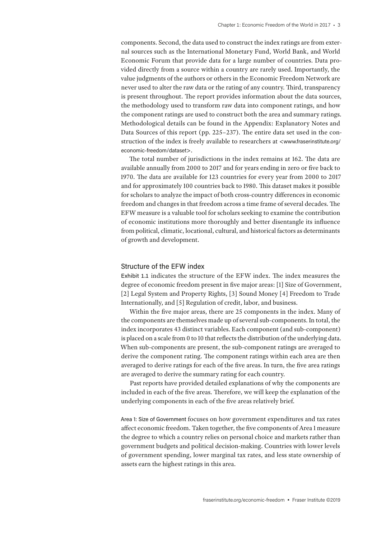components. Second, the data used to construct the index ratings are from external sources such as the International Monetary Fund, World Bank, and World Economic Forum that provide data for a large number of countries. Data provided directly from a source within a country are rarely used. Importantly, the value judgments of the authors or others in the Economic Freedom Network are never used to alter the raw data or the rating of any country. Third, transparency is present throughout. The report provides information about the data sources, the methodology used to transform raw data into component ratings, and how the component ratings are used to construct both the area and summary ratings. Methodological details can be found in the Appendix: Explanatory Notes and Data Sources of this report (pp. 225–237). The entire data set used in the construction of the index is freely available to researchers at <www.fraserinstitute.org/ economic-freedom/dataset>.

The total number of jurisdictions in the index remains at 162. The data are available annually from 2000 to 2017 and for years ending in zero or five back to 1970. The data are available for 123 countries for every year from 2000 to 2017 and for approximately 100 countries back to 1980. This dataset makes it possible for scholars to analyze the impact of both cross-country differences in economic freedom and changes in that freedom across a time frame of several decades. The EFW measure is a valuable tool for scholars seeking to examine the contribution of economic institutions more thoroughly and better disentangle its influence from political, climatic, locational, cultural, and historical factors as determinants of growth and development.

#### Structure of the EFW index

Exhibit 1.1 indicates the structure of the EFW index. The index measures the degree of economic freedom present in five major areas: [1] Size of Government, [2] Legal System and Property Rights, [3] Sound Money [4] Freedom to Trade Internationally, and [5] Regulation of credit, labor, and business.

Within the five major areas, there are 25 components in the index. Many of the components are themselves made up of several sub-components. In total, the index incorporates 43 distinct variables. Each component (and sub-component) is placed on a scale from 0 to 10 that reflects the distribution of the underlying data. When sub-components are present, the sub-component ratings are averaged to derive the component rating. The component ratings within each area are then averaged to derive ratings for each of the five areas. In turn, the five area ratings are averaged to derive the summary rating for each country.

Past reports have provided detailed explanations of why the components are included in each of the five areas. Therefore, we will keep the explanation of the underlying components in each of the five areas relatively brief.

Area 1: Size of Government focuses on how government expenditures and tax rates affect economic freedom. Taken together, the five components of Area 1 measure the degree to which a country relies on personal choice and markets rather than government budgets and political decision-making. Countries with lower levels of government spending, lower marginal tax rates, and less state ownership of assets earn the highest ratings in this area.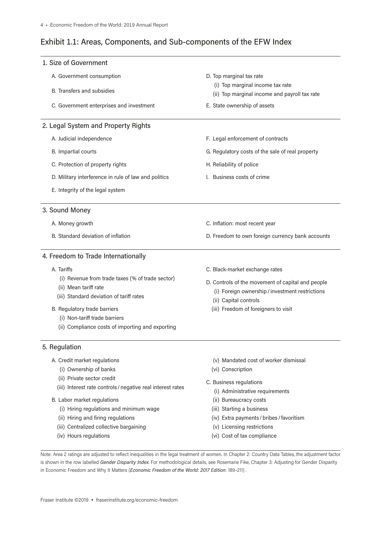### Exhibit 1.1: Areas, Components, and Sub-components of the EFW Index

| 1. Size of Government                                                                                                                                                                                                                                    |                                                                                                                                                                                                         |
|----------------------------------------------------------------------------------------------------------------------------------------------------------------------------------------------------------------------------------------------------------|---------------------------------------------------------------------------------------------------------------------------------------------------------------------------------------------------------|
| A. Government consumption<br>B. Transfers and subsidies                                                                                                                                                                                                  | D. Top marginal tax rate<br>(i) Top marginal income tax rate<br>(ii) Top marginal income and payroll tax rate                                                                                           |
| C. Government enterprises and investment                                                                                                                                                                                                                 | E. State ownership of assets                                                                                                                                                                            |
| 2. Legal System and Property Rights                                                                                                                                                                                                                      |                                                                                                                                                                                                         |
| A. Judicial independence                                                                                                                                                                                                                                 | F. Legal enforcement of contracts                                                                                                                                                                       |
| B. Impartial courts                                                                                                                                                                                                                                      | G. Regulatory costs of the sale of real property                                                                                                                                                        |
| C. Protection of property rights                                                                                                                                                                                                                         | H. Reliability of police                                                                                                                                                                                |
| D. Military interference in rule of law and politics                                                                                                                                                                                                     | I. Business costs of crime                                                                                                                                                                              |
| E. Integrity of the legal system                                                                                                                                                                                                                         |                                                                                                                                                                                                         |
| 3. Sound Money                                                                                                                                                                                                                                           |                                                                                                                                                                                                         |
| A. Money growth                                                                                                                                                                                                                                          | C. Inflation: most recent year                                                                                                                                                                          |
| B. Standard deviation of inflation                                                                                                                                                                                                                       | D. Freedom to own foreign currency bank accounts                                                                                                                                                        |
| 4. Freedom to Trade Internationally                                                                                                                                                                                                                      |                                                                                                                                                                                                         |
| A. Tariffs<br>(i) Revenue from trade taxes (% of trade sector)<br>(ii) Mean tariff rate<br>(iii) Standard deviation of tariff rates<br>B. Regulatory trade barriers<br>(i) Non-tariff trade barriers<br>(ii) Compliance costs of importing and exporting | C. Black-market exchange rates<br>D. Controls of the movement of capital and people<br>(i) Foreign ownership / investment restrictions<br>(ii) Capital controls<br>(iii) Freedom of foreigners to visit |
| 5. Regulation                                                                                                                                                                                                                                            |                                                                                                                                                                                                         |
| A. Credit market regulations<br>(i) Ownership of banks<br>(ii) Private sector credit<br>(iii) Interest rate controls / negative real interest rates<br>B. Labor market regulations                                                                       | (v) Mandated cost of worker dismissal<br>(vi) Conscription<br>C. Business regulations<br>(i) Administrative requirements<br>(ii) Bureaucracy costs                                                      |
| (i) Hiring regulations and minimum wage<br>(ii) Hiring and firing regulations<br>(iii) Centralized collective bargaining<br>(iv) Hours regulations                                                                                                       | (iii) Starting a business<br>(iv) Extra payments / bribes / favoritism<br>(v) Licensing restrictions<br>(vi) Cost of tax compliance                                                                     |

Note: Area 2 ratings are adjusted to reflect inequalities in the legal treatment of women. In Chapter 2: Country Data Tables, the adjustment factor is shown in the row labelled *Gender Disparity Index*. For methodological details, see Rosemarie Fike, Chapter 3: Adjusting for Gender Disparity in Economic Freedom and Why It Matters (*Economic Freedom of the World: 2017 Edition*: 189–211) .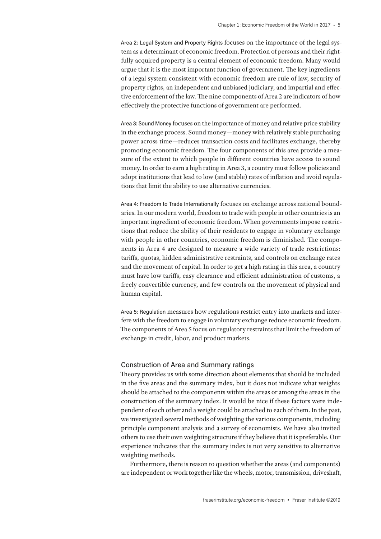Area 2: Legal System and Property Rights focuses on the importance of the legal system as a determinant of economic freedom. Protection of persons and their rightfully acquired property is a central element of economic freedom. Many would argue that it is the most important function of government. The key ingredients of a legal system consistent with economic freedom are rule of law, security of property rights, an independent and unbiased judiciary, and impartial and effective enforcement of the law. The nine components of Area 2 are indicators of how effectively the protective functions of government are performed.

Area 3: Sound Money focuses on the importance of money and relative price stability in the exchange process. Sound money—money with relatively stable purchasing power across time—reduces transaction costs and facilitates exchange, thereby promoting economic freedom. The four components of this area provide a measure of the extent to which people in different countries have access to sound money. In order to earn a high rating in Area 3, a country must follow policies and adopt institutions that lead to low (and stable) rates of inflation and avoid regulations that limit the ability to use alternative currencies.

Area 4: Freedom to Trade Internationally focuses on exchange across national boundaries. In our modern world, freedom to trade with people in other countries is an important ingredient of economic freedom. When governments impose restrictions that reduce the ability of their residents to engage in voluntary exchange with people in other countries, economic freedom is diminished. The components in Area 4 are designed to measure a wide variety of trade restrictions: tariffs, quotas, hidden administrative restraints, and controls on exchange rates and the movement of capital. In order to get a high rating in this area, a country must have low tariffs, easy clearance and efficient administration of customs, a freely convertible currency, and few controls on the movement of physical and human capital.

Area 5: Regulation measures how regulations restrict entry into markets and interfere with the freedom to engage in voluntary exchange reduce economic freedom. The components of Area 5 focus on regulatory restraints that limit the freedom of exchange in credit, labor, and product markets.

#### Construction of Area and Summary ratings

Theory provides us with some direction about elements that should be included in the five areas and the summary index, but it does not indicate what weights should be attached to the components within the areas or among the areas in the construction of the summary index. It would be nice if these factors were independent of each other and a weight could be attached to each of them. In the past, we investigated several methods of weighting the various components, including principle component analysis and a survey of economists. We have also invited others to use their own weighting structure if they believe that it is preferable. Our experience indicates that the summary index is not very sensitive to alternative weighting methods.

Furthermore, there is reason to question whether the areas (and components) are independent or work together like the wheels, motor, transmission, driveshaft,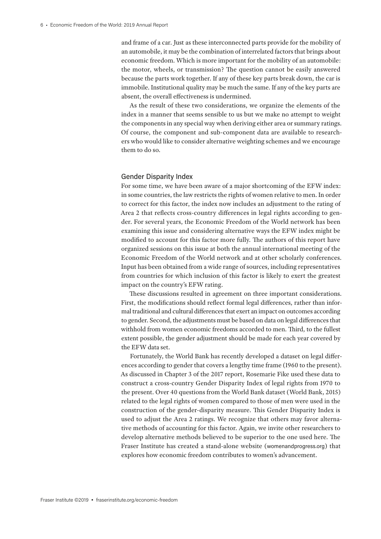and frame of a car. Just as these interconnected parts provide for the mobility of an automobile, it may be the combination of interrelated factors that brings about economic freedom. Which is more important for the mobility of an automobile: the motor, wheels, or transmission? The question cannot be easily answered because the parts work together. If any of these key parts break down, the car is immobile. Institutional quality may be much the same. If any of the key parts are absent, the overall effectiveness is undermined.

As the result of these two considerations, we organize the elements of the index in a manner that seems sensible to us but we make no attempt to weight the components in any special way when deriving either area or summary ratings. Of course, the component and sub-component data are available to researchers who would like to consider alternative weighting schemes and we encourage them to do so.

#### Gender Disparity Index

For some time, we have been aware of a major shortcoming of the EFW index: in some countries, the law restricts the rights of women relative to men. In order to correct for this factor, the index now includes an adjustment to the rating of Area 2 that reflects cross-country differences in legal rights according to gender. For several years, the Economic Freedom of the World network has been examining this issue and considering alternative ways the EFW index might be modified to account for this factor more fully. The authors of this report have organized sessions on this issue at both the annual international meeting of the Economic Freedom of the World network and at other scholarly conferences. Input has been obtained from a wide range of sources, including representatives from countries for which inclusion of this factor is likely to exert the greatest impact on the country's EFW rating.

These discussions resulted in agreement on three important considerations. First, the modifications should reflect formal legal differences, rather than informal traditional and cultural differences that exert an impact on outcomes according to gender. Second, the adjustments must be based on data on legal differences that withhold from women economic freedoms accorded to men. Third, to the fullest extent possible, the gender adjustment should be made for each year covered by the EFW data set.

Fortunately, the World Bank has recently developed a dataset on legal differences according to gender that covers a lengthy time frame (1960 to the present). As discussed in Chapter 3 of the 2017 report, Rosemarie Fike used these data to construct a cross-country Gender Disparity Index of legal rights from 1970 to the present. Over 40 questions from the World Bank dataset (World Bank, 2015) related to the legal rights of women compared to those of men were used in the construction of the gender-disparity measure. This Gender Disparity Index is used to adjust the Area 2 ratings. We recognize that others may favor alternative methods of accounting for this factor. Again, we invite other researchers to develop alternative methods believed to be superior to the one used here. The Fraser Institute has created a stand-alone website (womenandprogress.org) that explores how economic freedom contributes to women's advancement.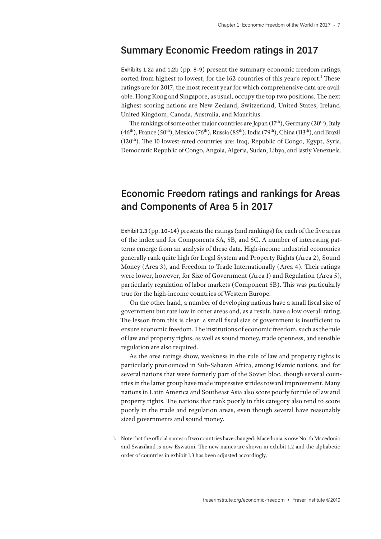## **Summary Economic Freedom ratings in 2017**

Exhibits 1.2a and 1.2b (pp. 8–9) present the summary economic freedom ratings, sorted from highest to lowest, for the 162 countries of this year's report.<sup>1</sup> These ratings are for 2017, the most recent year for which comprehensive data are available. Hong Kong and Singapore, as usual, occupy the top two positions. The next highest scoring nations are New Zealand, Switzerland, United States, Ireland, United Kingdom, Canada, Australia, and Mauritius.

The rankings of some other major countries are Japan ( $17<sup>th</sup>$ ), Germany ( $20<sup>th</sup>$ ), Italy  $(46<sup>th</sup>)$ , France  $(50<sup>th</sup>)$ , Mexico  $(76<sup>th</sup>)$ , Russia  $(85<sup>th</sup>)$ , India  $(79<sup>th</sup>)$ , China  $(113<sup>th</sup>)$ , and Brazil  $(120<sup>th</sup>)$ . The 10 lowest-rated countries are: Iraq, Republic of Congo, Egypt, Syria, Democratic Republic of Congo, Angola, Algeria, Sudan, Libya, and lastly Venezuela.

## **Economic Freedom ratings and rankings for Areas and Components of Area 5 in 2017**

Exhibit 1.3 (pp. 10–14) presents the ratings (and rankings) for each of the five areas of the index and for Components 5A, 5B, and 5C. A number of interesting patterns emerge from an analysis of these data. High-income industrial economies generally rank quite high for Legal System and Property Rights (Area 2), Sound Money (Area 3), and Freedom to Trade Internationally (Area 4). Their ratings were lower, however, for Size of Government (Area 1) and Regulation (Area 5), particularly regulation of labor markets (Component 5B). This was particularly true for the high-income countries of Western Europe.

On the other hand, a number of developing nations have a small fiscal size of government but rate low in other areas and, as a result, have a low overall rating. The lesson from this is clear: a small fiscal size of government is insufficient to ensure economic freedom. The institutions of economic freedom, such as the rule of law and property rights, as well as sound money, trade openness, and sensible regulation are also required.

As the area ratings show, weakness in the rule of law and property rights is particularly pronounced in Sub-Saharan Africa, among Islamic nations, and for several nations that were formerly part of the Soviet bloc, though several countries in the latter group have made impressive strides toward improvement. Many nations in Latin America and Southeast Asia also score poorly for rule of law and property rights. The nations that rank poorly in this category also tend to score poorly in the trade and regulation areas, even though several have reasonably sized governments and sound money.

<sup>1.</sup> Note that the official names of two countries have changed: Macedonia is now North Macedonia and Swaziland is now Eswatini. The new names are shown in exhibit 1.2 and the alphabetic order of countries in exhibit 1.3 has been adjusted accordingly.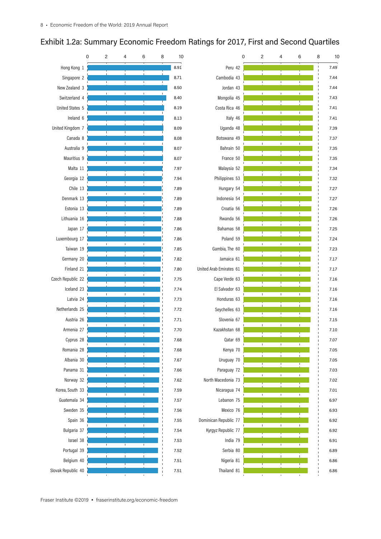## Exhibit 1.2a: Summary Economic Freedom Ratings for 2017, First and Second Quartiles

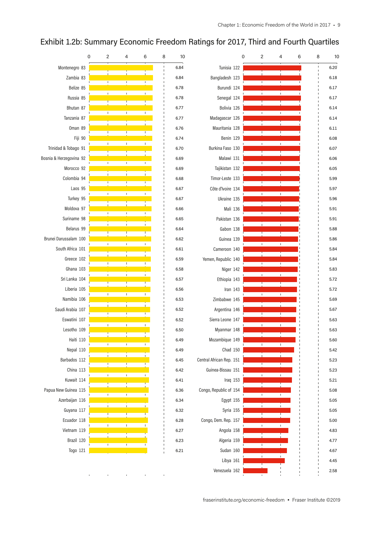

#### Exhibit 1.2b: Summary Economic Freedom Ratings for 2017, Third and Fourth Quartiles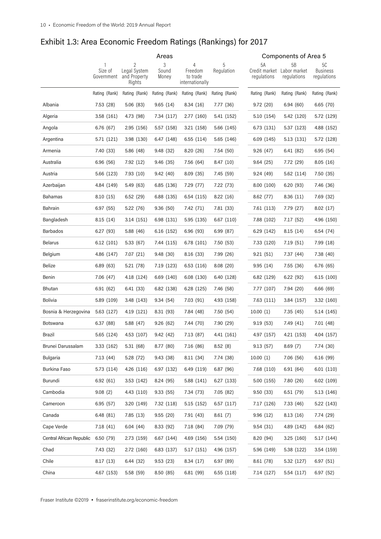|                          | Areas                 |                                             |                     |                                             |                 | Components of Area 5 |                                                 |                                      |  |
|--------------------------|-----------------------|---------------------------------------------|---------------------|---------------------------------------------|-----------------|----------------------|-------------------------------------------------|--------------------------------------|--|
|                          | Size of<br>Government | 2<br>Legal System<br>and Property<br>Rights | 3<br>Sound<br>Money | 4<br>Freedom<br>to trade<br>internationally | 5<br>Regulation | 5A<br>regulations    | 5B<br>Credit market Labor market<br>regulations | 5C<br><b>Business</b><br>regulations |  |
|                          | Rating (Rank)         | Rating (Rank)                               | Rating (Rank)       | Rating (Rank)                               | Rating (Rank)   | Rating (Rank)        | Rating (Rank)                                   | Rating (Rank)                        |  |
| Albania                  | 7.53 (28)             | 5.06 (83)                                   | 9.65(14)            | 8.34(16)                                    | 7.77 (36)       | 9.72(20)             | 6.94(60)                                        | 6.65(70)                             |  |
| Algeria                  | 3.58 (161)            | 4.73 (98)                                   | 7.34 (117)          | 2.77 (160)                                  | 5.41 (152)      | 5.10 (154)           | 5.42 (120)                                      | 5.72 (129)                           |  |
| Angola                   | 6.76 (67)             | 2.95 (156)                                  | 5.57 (158)          | 3.21(158)                                   | 5.66 (145)      | 6.73 (131)           | 5.37 (123)                                      | 4.88 (152)                           |  |
| Argentina                | 5.71 (121)            | 3.98 (130)                                  | 6.47 (148)          | 6.55 (114)                                  | 5.65 (146)      | 6.09 (145)           | 5.13 (131)                                      | 5.72 (128)                           |  |
| Armenia                  | 7.40 (33)             | 5.86 (48)                                   | 9.48 (32)           | 8.20(26)                                    | 7.54 (50)       | 9.26(47)             | 6.41 (82)                                       | 6.95(54)                             |  |
| Australia                | 6.96 (56)             | 7.92 (12)                                   | 9.46 (35)           | 7.56 (64)                                   | 8.47(10)        | 9.64(25)             | 7.72 (29)                                       | 8.05(16)                             |  |
| Austria                  | 5.66 (123)            | 7.93(10)                                    | 9.42 (40)           | 8.09 (35)                                   | 7.45 (59)       | 9.24(49)             | 5.62 (114)                                      | 7.50 (35)                            |  |
| Azerbaijan               | 4.84 (149)            | 5.49 (63)                                   | 6.85 (136)          | 7.29 (77)                                   | 7.22 (73)       | 8.00 (100)           | 6.20(93)                                        | 7.46 (36)                            |  |
| Bahamas                  | 8.10(15)              | 6.52 (29)                                   | 6.88 (135)          | 6.54 (115)                                  | 8.22(16)        | 8.62 (77)            | 8.36(11)                                        | 7.69 (32)                            |  |
| Bahrain                  | 6.97 (55)             | 5.22 (76)                                   | 9.36(50)            | 7.42 (71)                                   | 7.81 (33)       | 7.61 (113)           | 7.79(27)                                        | 8.02(17)                             |  |
| Bangladesh               | 8.15(14)              | 3.14 (151)                                  | 6.98 (131)          | 5.95 (135)                                  | 6.67 (110)      | 7.88 (102)           | 7.17(52)                                        | 4.96 (150)                           |  |
| <b>Barbados</b>          | 6.27 (93)             | 5.88 (46)                                   | 6.16 (152)          | 6.96(93)                                    | 6.99(87)        | 6.29 (142)           | 8.15(14)                                        | 6.54 (74)                            |  |
| <b>Belarus</b>           | 6.12 (101)            | 5.33 (67)                                   | 7.44 (115)          | 6.78 (101)                                  | 7.50 (53)       | 7.33 (120)           | 7.19(51)                                        | 7.99(18)                             |  |
| Belgium                  | 4.86 (147)            | 7.07(21)                                    | 9.48 (30)           | 8.16(33)                                    | 7.99 (26)       | 9.21(51)             | 7.37 (44)                                       | 7.38 (40)                            |  |
| <b>Belize</b>            | 6.89 (63)             | 5.21 (78)                                   | 7.19 (123)          | 6.53 (116)                                  | 8.08(20)        | 9.95(14)             | 7.55(36)                                        | 6.76(65)                             |  |
| Benin                    | 7.06 (47)             | 4.18 (124)                                  | 6.69 (140)          | 6.08 (130)                                  | 6.40 (128)      | 6.82 (129)           | 6.22(92)                                        | 6.15(100)                            |  |
| <b>Bhutan</b>            | 6.91 (62)             | 6.41 (33)                                   | 6.82 (138)          | 6.28 (125)                                  | 7.46 (58)       | 7.77 (107)           | 7.94 (20)                                       | 6.66(69)                             |  |
| <b>Bolivia</b>           | 5.89 (109)            | 3.48 (143)                                  | 9.34(54)            | 7.03(91)                                    | 4.93 (158)      | 7.63 (111)           | 3.84 (157)                                      | 3.32(160)                            |  |
| Bosnia & Herzegovina     | 5.63 (127)            | 4.19 (121)                                  | 8.31 (93)           | 7.84 (48)                                   | 7.50 (54)       | 10.00(1)             | 7.35(45)                                        | 5.14 (145)                           |  |
| <b>Botswana</b>          | 6.37(88)              | 5.88 (47)                                   | 9.26(62)            | 7.44 (70)                                   | 7.90 (29)       | 9.19(53)             | 7.49(41)                                        | 7.01(48)                             |  |
| Brazil                   | 5.65 (124)            | 4.53 (107)                                  | 9.42(42)            | 7.13 (87)                                   | 4.41 (161)      | 4.97 (157)           | 4.21 (153)                                      | 4.04 (157)                           |  |
| Brunei Darussalam        | 3.33 (162)            | 5.31 (68)                                   | 8.77 (80)           | 7.16 (86)                                   | 8.52(8)         | 9.13(57)             | 8.69(7)                                         | 7.74 (30)                            |  |
| Bulgaria                 | 7.13(44)              | 5.28 (72)                                   | 9.43 (38)           | 8.11 (34)                                   | 7.74 (38)       | 10.00(1)             | 7.06(56)                                        | 6.16(99)                             |  |
| Burkina Faso             | 5.73 (114)            | 4.26 (116)                                  | 6.97 (132)          | 6.49 (119)                                  | 6.87(96)        | 7.68 (110)           | 6.91(64)                                        | 6.01(110)                            |  |
| Burundi                  | 6.92 (61)             | 3.53 (142)                                  | 8.24 (95)           | 5.88 (141)                                  | 6.27 (133)      | 5.00 (155)           | 7.80(26)                                        | 6.02(109)                            |  |
| Cambodia                 | 9.08(2)               | 4.43 (110)                                  | 9.33(55)            | 7.34 (73)                                   | 7.05 (82)       | 9.50(33)             | 6.51 (79)                                       | 5.13 (146)                           |  |
| Cameroon                 | 6.95(57)              | 3.20 (149)                                  | 7.32 (118)          | 5.15 (152)                                  | 6.57 (117)      | 7.17 (126)           | 7.33 (46)                                       | 5.22 (143)                           |  |
| Canada                   | 6.48 (81)             | 7.85(13)                                    | 9.55(20)            | 7.91 (43)                                   | 8.61(7)         | 9.96 (12)            | 8.13(16)                                        | 7.74 (29)                            |  |
| Cape Verde               | 7.18 (41)             | 6.04 (44)                                   | 8.33 (92)           | 7.18 (84)                                   | 7.09 (79)       | 9.54 (31)            | 4.89 (142)                                      | 6.84(62)                             |  |
| Central African Republic | 6.50 (79)             | 2.73(159)                                   | 6.67 (144)          | 4.69 (156)                                  | 5.54 (150)      | 8.20 (94)            | 3.25(160)                                       | 5.17(144)                            |  |
| Chad                     | 7.43 (32)             | 2.72 (160)                                  | 6.83 (137)          | 5.17 (151)                                  | 4.96 (157)      | 5.96 (149)           | 5.38 (122)                                      | 3.54(159)                            |  |
| Chile                    | 8.17(13)              | 6.44 (32)                                   | 9.53(23)            | 8.34(17)                                    | 6.97 (89)       | 8.61 (78)            | 5.32 (127)                                      | 6.97(51)                             |  |
| China                    | 4.67 (153)            | 5.58 (59)                                   | 8.50(85)            | 6.81(99)                                    | 6.55(118)       | 7.14 (127)           | 5.54 (117)                                      | 6.97(52)                             |  |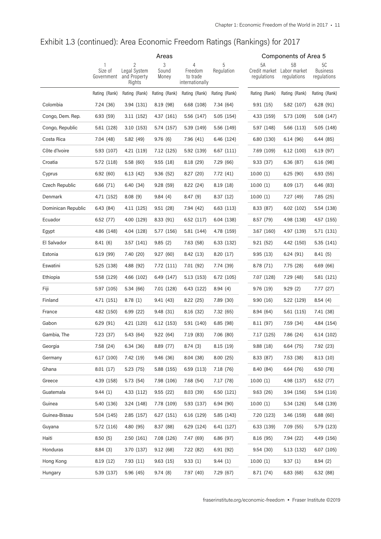|                    | Areas                 |                                        |                |                                        |               |                              | <b>Components of Area 5</b> |                                |  |  |
|--------------------|-----------------------|----------------------------------------|----------------|----------------------------------------|---------------|------------------------------|-----------------------------|--------------------------------|--|--|
|                    |                       | 2                                      | 3              | 4                                      |               | 5A                           | 5B                          | 5C                             |  |  |
|                    | Size of<br>Government | Legal System<br>and Property<br>Rights | Sound<br>Money | Freedom<br>to trade<br>internationally | Regulation    | Credit market<br>regulations | Labor market<br>regulations | <b>Business</b><br>regulations |  |  |
|                    | Rating (Rank)         | Rating (Rank)                          | Rating (Rank)  | Rating (Rank)                          | Rating (Rank) | Rating (Rank)                | Rating (Rank)               | Rating (Rank)                  |  |  |
| Colombia           | 7.24 (36)             | 3.94 (131)                             | 8.19 (98)      | 6.68 (108)                             | 7.34 (64)     | 9.91(15)                     | 5.82 (107)                  | 6.28(91)                       |  |  |
| Congo, Dem. Rep.   | 6.93(59)              | 3.11 (152)                             | 4.37(161)      | 5.56 (147)                             | 5.05(154)     | 4.33 (159)                   | 5.73 (109)                  | 5.08 (147)                     |  |  |
| Congo, Republic    | 5.61 (128)            | 3.10 (153)                             | 5.74 (157)     | 5.39 (149)                             | 5.56 (149)    | 5.97 (148)                   | 5.66 (113)                  | 5.05 (148)                     |  |  |
| Costa Rica         | 7.04 (48)             | 5.82 (49)                              | 9.76(6)        | 7.96(41)                               | 6.46 (124)    | 6.80 (130)                   | 6.14 (96)                   | 6.44 (85)                      |  |  |
| Côte d'Ivoire      | 5.93 (107)            | 4.21 (119)                             | 7.12 (125)     | 5.92 (139)                             | 6.67 (111)    | 7.69 (109)                   | 6.12 (100)                  | 6.19(97)                       |  |  |
| Croatia            | 5.72 (118)            | 5.58 (60)                              | 9.55(18)       | 8.18(29)                               | 7.29 (66)     | 9.33(37)                     | 6.36 (87)                   | 6.16(98)                       |  |  |
| Cyprus             | 6.92(60)              | 6.13(42)                               | 9.36(52)       | 8.27(20)                               | 7.72 (41)     | 10.00(1)                     | 6.25(90)                    | 6.93 (55)                      |  |  |
| Czech Republic     | 6.66(71)              | 6.40 (34)                              | 9.28(59)       | 8.22(24)                               | 8.19(18)      | 10.00(1)                     | 8.09(17)                    | 6.46 (83)                      |  |  |
| Denmark            | 4.71 (152)            | 8.08(9)                                | 9.84(4)        | 8.47(9)                                | 8.37(12)      | 10.00(1)                     | 7.27(49)                    | 7.85 (25)                      |  |  |
| Dominican Republic | 6.43(84)              | 4.11 (125)                             | 9.51(28)       | 7.94 (42)                              | 6.63 (113)    | 8.33(87)                     | 6.02 (102)                  | 5.54 (138)                     |  |  |
| Ecuador            | 6.52(77)              | 4.00 (129)                             | 8.33(91)       | 6.52(117)                              | 6.04 (138)    | 8.57(79)                     | 4.98 (138)                  | 4.57 (155)                     |  |  |
| Egypt              | 4.86 (148)            | 4.04 (128)                             | 5.77 (156)     | 5.81 (144)                             | 4.78 (159)    | 3.67 (160)                   | 4.97 (139)                  | 5.71 (131)                     |  |  |
| El Salvador        | 8.41(6)               | 3.57 (141)                             | 9.85(2)        | 7.63 (58)                              | 6.33 (132)    | 9.21(52)                     | 4.42 (150)                  | 5.35 (141)                     |  |  |
| Estonia            | 6.19(99)              | 7.40 (20)                              | 9.27(60)       | 8.42 (13)                              | 8.20(17)      | 9.95(13)                     | 6.24 (91)                   | 8.41(5)                        |  |  |
| Eswatini           | 5.25 (138)            | 4.88 (92)                              | 7.72 (111)     | 7.01 (92)                              | 7.74 (39)     | 8.78 (71)                    | 7.75 (28)                   | 6.69 (66)                      |  |  |
| Ethiopia           | 5.58 (129)            | 4.66 (102)                             | 6.49 (147)     | 5.13 (153)                             | 6.72 (105)    | 7.07 (128)                   | 7.29 (48)                   | 5.81 (121)                     |  |  |
| Fiji               | 5.97 (105)            | 5.34 (66)                              | 7.01 (128)     | 6.43 (122)                             | 8.94(4)       | 9.76(19)                     | 9.29(2)                     | 7.77(27)                       |  |  |
| Finland            | 4.71 (151)            | 8.78(1)                                | 9.41(43)       | 8.22(25)                               | 7.89 (30)     | 9.90(16)                     | 5.22 (129)                  | 8.54(4)                        |  |  |
| France             | 4.82 (150)            | 6.99 (22)                              | 9.48(31)       | 8.16(32)                               | 7.32 (65)     | 8.94(64)                     | 5.61 (115)                  | 7.41 (38)                      |  |  |
| Gabon              | 6.29(91)              | 4.21 (120)                             | 6.12(153)      | 5.91 (140)                             | 6.85(98)      | 8.11 (97)                    | 7.59 (34)                   | 4.84 (154)                     |  |  |
| Gambia, The        | 7.23 (37)             | 5.43 (64)                              | 9.22 (64)      | 7.19 (83)                              | 7.06 (80)     | 7.17 (125)                   | 7.86 (24)                   | 6.14 (102)                     |  |  |
| Georgia            | 7.58 (24)             | 6.34(36)                               | 8.89 (77)      | 8.74(3)                                | 8.15 (19)     | 9.88(18)                     | 6.64(75)                    | 7.92 (23)                      |  |  |
| Germany            | 6.17(100)             | 7.42 (19)                              | 9.46(36)       | 8.04(38)                               | 8.00(25)      | 8.33 (87)                    | 7.53 (38)                   | 8.13(10)                       |  |  |
| Ghana              | 8.01(17)              | 5.23 (75)                              | 5.88 (155)     | 6.59 (113)                             | 7.18 (76)     | 8.40 (84)                    | 6.64 (76)                   | 6.50 (78)                      |  |  |
| Greece             | 4.39 (158)            | 5.73 (54)                              | 7.98 (106)     | 7.68 (54)                              | 7.17(78)      | 10.00(1)                     | 4.98 (137)                  | 6.52 (77)                      |  |  |
| Guatemala          | 9.44(1)               | 4.33 (112)                             | 9.55(22)       | 8.03 (39)                              | 6.50 (121)    | 9.63(26)                     | 3.94 (156)                  | 5.94 (116)                     |  |  |
| Guinea             | 5.40 (136)            | 3.24 (148)                             | 7.78 (109)     | 5.93 (137)                             | 6.94(90)      | 10.00(1)                     | 5.34 (126)                  | 5.48 (139)                     |  |  |
| Guinea-Bissau      | 5.04 (145)            | 2.85 (157)                             | 6.27(151)      | 6.16 (129)                             | 5.85(143)     | 7.20 (123)                   | 3.46 (159)                  | 6.88(60)                       |  |  |
| Guyana             | 5.72 (116)            | 4.80 (95)                              | 8.37 (88)      | 6.29 (124)                             | 6.41 (127)    | 6.33 (139)                   | 7.09 (55)                   | 5.79 (123)                     |  |  |
| Haiti              | 8.50(5)               | 2.50 (161)                             | 7.08 (126)     | 7.47 (69)                              | 6.86(97)      | 8.16 (95)                    | 7.94 (22)                   | 4.49 (156)                     |  |  |
| Honduras           | 8.84(3)               | 3.70 (137)                             | 9.12(68)       | 7.22 (82)                              | 6.91 (92)     | 9.54(30)                     | 5.13 (132)                  | 6.07 (105)                     |  |  |
| Hong Kong          | 8.19(12)              | 7.93 (11)                              | 9.63(15)       | 9.33(1)                                | 9.44(1)       | 10.00 (1)                    | 9.37(1)                     | 8.94(2)                        |  |  |
| Hungary            | 5.39 (137)            | 5.96 (45)                              | 9.74(8)        | 7.97 (40)                              | 7.29 (67)     | 8.71 (74)                    | 6.83(68)                    | 6.32 (88)                      |  |  |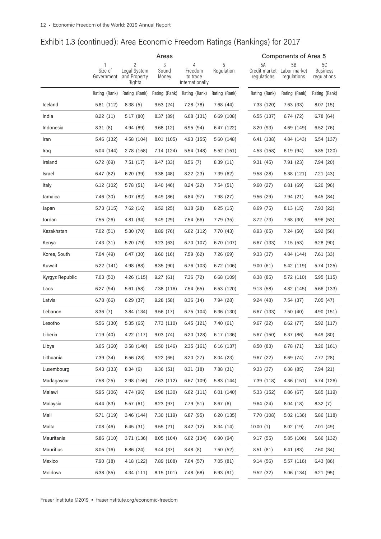|                 | Areas                 |                                        |                |                                        |               | <b>Components of Area 5</b>  |                             |                                |  |
|-----------------|-----------------------|----------------------------------------|----------------|----------------------------------------|---------------|------------------------------|-----------------------------|--------------------------------|--|
|                 | 1                     | 2                                      | $\mathfrak{Z}$ | 4                                      | 5             | 5A                           | 5B                          | 5C                             |  |
|                 | Size of<br>Government | Legal System<br>and Property<br>Rights | Sound<br>Money | Freedom<br>to trade<br>internationally | Regulation    | Credit market<br>regulations | Labor market<br>regulations | <b>Business</b><br>regulations |  |
|                 | Rating (Rank)         | Rating (Rank)                          | Rating (Rank)  | Rating (Rank)                          | Rating (Rank) | Rating (Rank)                | Rating (Rank)               | Rating (Rank)                  |  |
| Iceland         | 5.81 (112)            | 8.38(5)                                | 9.53(24)       | 7.28 (78)                              | 7.68 (44)     | 7.33 (120)                   | 7.63 (33)                   | 8.07(15)                       |  |
| India           | 8.22(11)              | 5.17(80)                               | 8.37 (89)      | 6.08 (131)                             | 6.69 (108)    | 6.55(137)                    | 6.74 (72)                   | 6.78(64)                       |  |
| Indonesia       | 8.31(8)               | 4.94 (89)                              | 9.68(12)       | 6.95(94)                               | 6.47 (122)    | 8.20 (93)                    | 4.69 (149)                  | 6.52(76)                       |  |
| Iran            | 5.46 (132)            | 4.58 (104)                             | 8.01 (105)     | 4.93 (155)                             | 5.60 (148)    | 6.41 (138)                   | 4.84 (143)                  | 5.54 (137)                     |  |
| Iraq            | 5.04 (144)            | 2.78 (158)                             | 7.14 (124)     | 5.54 (148)                             | 5.52 (151)    | 4.53 (158)                   | 6.19(94)                    | 5.85 (120)                     |  |
| Ireland         | 6.72(69)              | 7.51(17)                               | 9.47 (33)      | 8.56(7)                                | 8.39(11)      | 9.31(45)                     | 7.91 (23)                   | 7.94 (20)                      |  |
| Israel          | 6.47(82)              | 6.20(39)                               | 9.38(48)       | 8.22(23)                               | 7.39 (62)     | 9.58(28)                     | 5.38 (121)                  | 7.21 (43)                      |  |
| Italy           | 6.12 (102)            | 5.78 (51)                              | 9.40 (46)      | 8.24(22)                               | 7.54(51)      | 9.60(27)                     | 6.81(69)                    | 6.20(96)                       |  |
| Jamaica         | 7.46 (30)             | 5.07(82)                               | 8.49 (86)      | 6.84(97)                               | 7.98 (27)     | 9.56(29)                     | 7.94 (21)                   | 6.45(84)                       |  |
| Japan           | 5.73 (115)            | 7.62(16)                               | 9.52(25)       | 8.18(28)                               | 8.25(15)      | 8.69(75)                     | 8.13(15)                    | 7.93 (22)                      |  |
| Jordan          | 7.55 (26)             | 4.81 (94)                              | 9.49(29)       | 7.54 (66)                              | 7.79 (35)     | 8.72 (73)                    | 7.68 (30)                   | 6.96(53)                       |  |
| Kazakhstan      | 7.02(51)              | 5.30 (70)                              | 8.89 (76)      | 6.62(112)                              | 7.70 (43)     | 8.93(65)                     | 7.24(50)                    | 6.92(56)                       |  |
| Kenya           | 7.43 (31)             | 5.20 (79)                              | 9.23(63)       | 6.70 (107)                             | 6.70 (107)    | 6.67 (133)                   | 7.15(53)                    | 6.28(90)                       |  |
| Korea, South    | 7.04 (49)             | 6.47(30)                               | 9.60(16)       | 7.59 (62)                              | 7.26 (69)     | 9.33(37)                     | 4.84 (144)                  | 7.61 (33)                      |  |
| Kuwait          | 5.22 (141)            | 4.98 (88)                              | 8.35 (90)      | 6.76 (103)                             | 6.72 (106)    | 9.00(61)                     | 5.42 (119)                  | 5.74 (125)                     |  |
| Kyrgyz Republic | 7.03(50)              | 4.26 (115)                             | 9.27(61)       | 7.36 (72)                              | 6.68 (109)    | 8.38 (85)                    | 5.72 (110)                  | 5.95 (115)                     |  |
| Laos            | 6.27(94)              | 5.61 (58)                              | 7.38 (116)     | 7.54 (65)                              | 6.53 (120)    | 9.13(58)                     | 4.82 (145)                  | 5.66 (133)                     |  |
| Latvia          | 6.78(66)              | 6.29(37)                               | 9.28(58)       | 8.36(14)                               | 7.94 (28)     | 9.24(48)                     | 7.54 (37)                   | 7.05(47)                       |  |
| Lebanon         | 8.36(7)               | 3.84 (134)                             | 9.56(17)       | 6.75(104)                              | 6.36 (130)    | 6.67 (133)                   | 7.50(40)                    | 4.90 (151)                     |  |
| Lesotho         | 5.56 (130)            | 5.35(65)                               | 7.73 (110)     | 6.45 (121)                             | 7.40 (61)     | 9.67(22)                     | 6.62(77)                    | 5.92 (117)                     |  |
| Liberia         | 7.19 (40)             | 4.22 (117)                             | 9.03(74)       | 6.20 (128)                             | 6.17 (136)    | 5.67 (150)                   | 6.37(86)                    | 6.49(80)                       |  |
| Libya           | 3.65 (160)            | 3.58 (140)                             | 6.50 (146)     | 2.35(161)                              | 6.16(137)     | 8.50 (83)                    | 6.78 (71)                   | 3.20 (161)                     |  |
| Lithuania       | 7.39 (34)             | 6.56(28)                               | 9.22(65)       | 8.20 (27)                              | 8.04(23)      | 9.67(22)                     | 6.69 (74)                   | 7.77 (28)                      |  |
| Luxembourg      | 5.43 (133)            | 8.34(6)                                | 9.36(51)       | 8.31(18)                               | 7.88 (31)     | 9.33(37)                     | 6.38(85)                    | 7.94 (21)                      |  |
| Madagascar      | 7.58 (25)             | 2.98 (155)                             | 7.63 (112)     | 6.67 (109)                             | 5.83 (144)    | 7.39 (118)                   | 4.36 (151)                  | 5.74 (126)                     |  |
| Malawi          | 5.95 (106)            | 4.74 (96)                              | 6.98 (130)     | 6.62 (111)                             | 6.01(140)     | 5.33 (152)                   | 6.86(67)                    | 5.85 (119)                     |  |
| Malaysia        | 6.44 (83)             | 5.57(61)                               | 8.23 (97)      | 7.79 (51)                              | 8.67(6)       | 9.64(24)                     | 8.04(18)                    | 8.32(7)                        |  |
| Mali            | 5.71 (119)            | 3.46 (144)                             | 7.30 (119)     | 6.87(95)                               | 6.20(135)     | 7.70 (108)                   | 5.02 (136)                  | 5.86 (118)                     |  |
| Malta           | 7.08(46)              | 6.45 (31)                              | 9.55(21)       | 8.42 (12)                              | 8.34(14)      | 10.00(1)                     | 8.02(19)                    | 7.01 (49)                      |  |
| Mauritania      | 5.86 (110)            | 3.71 (136)                             | 8.05 (104)     | 6.02 (134)                             | 6.90(94)      | 9.17(55)                     | 5.85 (106)                  | 5.66 (132)                     |  |
| Mauritius       | 8.05(16)              | 6.86(24)                               | 9.44 (37)      | 8.48(8)                                | 7.50 (52)     | 8.51(81)                     | 6.41 (83)                   | 7.60(34)                       |  |
| Mexico          | 7.90 (18)             | 4.18 (122)                             | 7.89 (108)     | 7.64 (57)                              | 7.05(81)      | 9.14(56)                     | 5.57 (116)                  | 6.43 (86)                      |  |
| Moldova         | 6.38(85)              | 4.34 (111)                             | 8.15(101)      | 7.48 (68)                              | 6.93(91)      | 9.52(32)                     | 5.06 (134)                  | 6.21(95)                       |  |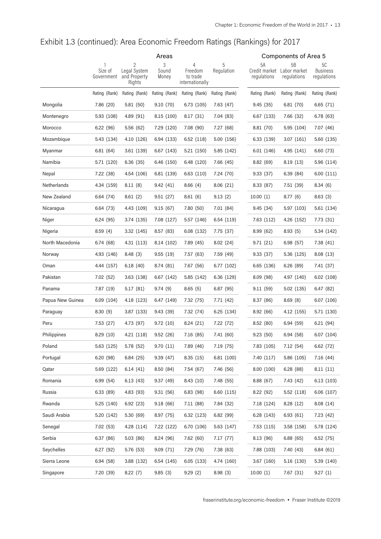|                  | Areas                 |                                             |                     |                                             |               | Components of Area 5 |                                                 |                                      |  |
|------------------|-----------------------|---------------------------------------------|---------------------|---------------------------------------------|---------------|----------------------|-------------------------------------------------|--------------------------------------|--|
|                  | Size of<br>Government | 2<br>Legal System<br>and Property<br>Rights | 3<br>Sound<br>Money | 4<br>Freedom<br>to trade<br>internationally | Regulation    | 5А<br>regulations    | 5B<br>Credit market Labor market<br>regulations | 50<br><b>Business</b><br>regulations |  |
|                  | Rating (Rank)         | Rating (Rank)                               | Rating (Rank)       | Rating (Rank)                               | Rating (Rank) | Rating (Rank)        | Rating (Rank)                                   | Rating (Rank)                        |  |
| Mongolia         | 7.86 (20)             | 5.81(50)                                    | 9.10(70)            | 6.73(105)                                   | 7.63 (47)     | 9.45(35)             | 6.81(70)                                        | 6.65(71)                             |  |
| Montenegro       | 5.93 (108)            | 4.89(91)                                    | 8.15 (100)          | 8.17(31)                                    | 7.04 (83)     | 6.67 (133)           | 7.66 (32)                                       | 6.78(63)                             |  |
| Morocco          | 6.22(96)              | 5.56(62)                                    | 7.29 (120)          | 7.08 (90)                                   | 7.27 (68)     | 8.81 (70)            | 5.95 (104)                                      | 7.07 (46)                            |  |
| Mozambique       | 5.43 (134)            | 4.10 (126)                                  | 6.94 (133)          | 6.52(118)                                   | 5.00 (156)    | 6.33 (139)           | 3.07(161)                                       | 5.60 (135)                           |  |
| Myanmar          | 6.81(64)              | 3.61 (139)                                  | 6.67 (143)          | 5.21 (150)                                  | 5.85 (142)    | 6.01(146)            | 4.95 (141)                                      | 6.60(73)                             |  |
| Namibia          | 5.71 (120)            | 6.36(35)                                    | 6.46 (150)          | 6.48 (120)                                  | 7.66 (45)     | 8.82(69)             | 8.19(13)                                        | 5.96 (114)                           |  |
| Nepal            | 7.22 (38)             | 4.54 (106)                                  | 6.81 (139)          | 6.63(110)                                   | 7.24 (70)     | 9.33(37)             | 6.39 (84)                                       | 6.00(111)                            |  |
| Netherlands      | 4.34 (159)            | 8.11(8)                                     | 9.42(41)            | 8.66(4)                                     | 8.06(21)      | 8.33(87)             | 7.51 (39)                                       | 8.34(6)                              |  |
| New Zealand      | 6.64 (74)             | 8.61(2)                                     | 9.51(27)            | 8.61(6)                                     | 9.13(2)       | 10.00(1)             | 8.77(6)                                         | 8.63(3)                              |  |
| Nicaragua        | 6.64 (73)             | 4.43 (109)                                  | 9.15(67)            | 7.80(50)                                    | 7.01 (84)     | 9.45(34)             | 5.97 (103)                                      | 5.61 (134)                           |  |
| Niger            | 6.24(95)              | 3.74 (135)                                  | 7.08 (127)          | 5.57 (146)                                  | 6.54 (119)    | 7.63(112)            | 4.26 (152)                                      | 7.73 (31)                            |  |
| Nigeria          | 8.59(4)               | 3.32 (145)                                  | 8.57 (83)           | 6.08 (132)                                  | 7.75 (37)     | 8.99(62)             | 8.93(5)                                         | 5.34 (142)                           |  |
| North Macedonia  | 6.74(68)              | 4.31 (113)                                  | 8.14 (102)          | 7.89 (45)                                   | 8.02(24)      | 9.71(21)             | 6.98 (57)                                       | 7.38(41)                             |  |
| Norway           | 4.93 (146)            | 8.48(3)                                     | 9.55(19)            | 7.57 (63)                                   | 7.59 (49)     | 9.33(37)             | 5.36 (125)                                      | 8.08(13)                             |  |
| Oman             | 4.44 (157)            | 6.18(40)                                    | 8.74 (81)           | 7.67 (56)                                   | 6.77 (102)    | 6.65 (136)           | 6.26(89)                                        | 7.41 (37)                            |  |
| Pakistan         | 7.02(52)              | 3.63 (138)                                  | 6.67 (142)          | 5.85 (142)                                  | 6.36 (129)    | 8.09(98)             | 4.97 (140)                                      | 6.02(108)                            |  |
| Panama           | 7.87 (19)             | 5.17(81)                                    | 9.74(9)             | 8.65(5)                                     | 6.87(95)      | 9.11(59)             | 5.02 (135)                                      | 6.47(82)                             |  |
| Papua New Guinea | 6.09(104)             | 4.18 (123)                                  | 6.47 (149)          | 7.32 (75)                                   | 7.71(42)      | 8.37 (86)            | 8.69(8)                                         | 6.07 (106)                           |  |
| Paraguay         | 8.30(9)               | 3.87 (133)                                  | 9.43 (39)           | 7.32 (74)                                   | 6.25 (134)    | 8.92(66)             | 4.12 (155)                                      | 5.71 (130)                           |  |
| Peru             | 7.53(27)              | 4.73 (97)                                   | 9.72(10)            | 8.24(21)                                    | 7.22 (72)     | 8.52(80)             | 6.94(59)                                        | 6.21(94)                             |  |
| Philippines      | 8.29(10)              | 4.21 (118)                                  | 9.52(26)            | 7.16(85)                                    | 7.41 (60)     | 9.23(50)             | 6.94 (58)                                       | 6.07 (104)                           |  |
| Poland           | 5.63 (125)            | 5.78 (52)                                   | 9.70(11)            | 7.89 (46)                                   | 7.19 (75)     | 7.83 (105)           | 7.12(54)                                        | 6.62 (72)                            |  |
| Portugal         | 6.20(98)              | 6.84(25)                                    | 9.39(47)            | 8.35(15)                                    | 6.81 (100)    | 7.40 (117)           | 5.86 (105)                                      | 7.16(44)                             |  |
| Qatar            | 5.69 (122)            | 6.14(41)                                    | 8.50 (84)           | 7.54 (67)                                   | 7.46 (56)     | 8.00(100)            | 6.28(88)                                        | 8.11(11)                             |  |
| Romania          | 6.99(54)              | 6.13(43)                                    | 9.37(49)            | 8.43(10)                                    | 7.48 (55)     | 8.88(67)             | 7.43 (42)                                       | 6.13(103)                            |  |
| Russia           | 6.33(89)              | 4.83 (93)                                   | 9.31(56)            | 6.83(98)                                    | 6.60(115)     | 8.22(92)             | 5.52(118)                                       | 6.06(107)                            |  |
| Rwanda           | 5.25 (140)            | 6.92(23)                                    | 9.18(66)            | 7.11 (88)                                   | 7.84 (32)     | 7.18 (124)           | 8.28(12)                                        | 8.08 (14)                            |  |
| Saudi Arabia     | 5.20 (142)            | 5.30(69)                                    | 8.97 (75)           | 6.32(123)                                   | 6.82(99)      | 6.28 (143)           | 6.93(61)                                        | 7.23 (42)                            |  |
| Senegal          | 7.02(53)              | 4.28 (114)                                  | 7.22 (122)          | 6.70 (106)                                  | 5.63 (147)    | 7.53 (115)           | 3.58 (158)                                      | 5.78 (124)                           |  |
| Serbia           | 6.37(86)              | 5.03(86)                                    | 8.24 (96)           | 7.62(60)                                    | 7.17(77)      | 8.13 (96)            | 6.88(65)                                        | 6.52(75)                             |  |
| Seychelles       | 6.27(92)              | 5.76 (53)                                   | 9.09(71)            | 7.29 (76)                                   | 7.38 (63)     | 7.88 (103)           | 7.40 (43)                                       | 6.84(61)                             |  |
| Sierra Leone     | 6.94(58)              | 3.88 (132)                                  | 6.54 (145)          | 6.05(133)                                   | 4.74 (160)    | 3.67(160)            | 5.16 (130)                                      | 5.39 (140)                           |  |
| Singapore        | 7.20 (39)             | 8.22(7)                                     | 9.85(3)             | 9.29(2)                                     | 8.98(3)       | 10.00(1)             | 7.67(31)                                        | 9.27(1)                              |  |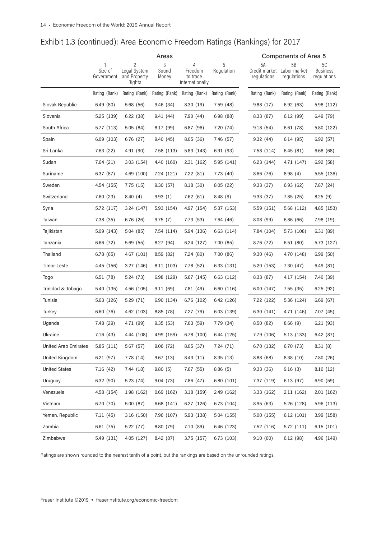|                             | Areas                 |                                             |                     |                                             |                 | Components of Area 5 |                                                 |                                      |  |
|-----------------------------|-----------------------|---------------------------------------------|---------------------|---------------------------------------------|-----------------|----------------------|-------------------------------------------------|--------------------------------------|--|
|                             | Size of<br>Government | 2<br>Legal System<br>and Property<br>Rights | 3<br>Sound<br>Money | 4<br>Freedom<br>to trade<br>internationally | 5<br>Regulation | 5A<br>regulations    | 5B<br>Credit market Labor market<br>regulations | 50<br><b>Business</b><br>regulations |  |
|                             | Rating (Rank)         | Rating (Rank)                               | Rating (Rank)       | Rating (Rank)                               | Rating (Rank)   | Rating (Rank)        | Rating (Rank)                                   | Rating (Rank)                        |  |
| Slovak Republic             | 6.49(80)              | 5.68 (56)                                   | 9.46(34)            | 8.30 (19)                                   | 7.59 (48)       | 9.88(17)             | 6.92(63)                                        | 5.98 (112)                           |  |
| Slovenia                    | 5.25 (139)            | 6.22(38)                                    | 9.41(44)            | 7.90 (44)                                   | 6.98(88)        | 8.33 (87)            | 6.12(99)                                        | 6.49 (79)                            |  |
| South Africa                | 5.77(113)             | 5.05(84)                                    | 8.17(99)            | 6.87(96)                                    | 7.20 (74)       | 9.18(54)             | 6.61 (78)                                       | 5.80 (122)                           |  |
| Spain                       | 6.09(103)             | 6.76(27)                                    | 9.40(45)            | 8.05(36)                                    | 7.46 (57)       | 9.32(44)             | 6.14(95)                                        | 6.92(57)                             |  |
| Sri Lanka                   | 7.63 (22)             | 4.91 (90)                                   | 7.58 (113)          | 5.83 (143)                                  | 6.91(93)        | 7.58 (114)           | 6.45(81)                                        | 6.68(68)                             |  |
| Sudan                       | 7.64 (21)             | 3.03(154)                                   | 4.40 (160)          | 2.31(162)                                   | 5.95 (141)      | 6.23 (144)           | 4.71 (147)                                      | 6.92(58)                             |  |
| Suriname                    | 6.37(87)              | 4.69 (100)                                  | 7.24 (121)          | 7.22 (81)                                   | 7.73 (40)       | 8.66 (76)            | 8.98(4)                                         | 5.55 (136)                           |  |
| Sweden                      | 4.54 (155)            | 7.75 (15)                                   | 9.30(57)            | 8.18(30)                                    | 8.05(22)        | 9.33(37)             | 6.93(62)                                        | 7.87(24)                             |  |
| Switzerland                 | 7.60 (23)             | 8.40(4)                                     | 9.93(1)             | 7.62 (61)                                   | 8.48(9)         | 9.33(37)             | 7.85(25)                                        | 8.25(9)                              |  |
| Syria                       | 5.72 (117)            | 3.24 (147)                                  | 5.93 (154)          | 4.97 (154)                                  | 5.37 (153)      | 5.59 (151)           | 5.68 (112)                                      | 4.85 (153)                           |  |
| Taiwan                      | 7.38 (35)             | 6.76(26)                                    | 9.75(7)             | 7.73 (53)                                   | 7.64 (46)       | 8.08 (99)            | 6.86(66)                                        | 7.98 (19)                            |  |
| Tajikistan                  | 5.09 (143)            | 5.04(85)                                    | 7.54(114)           | 5.94 (136)                                  | 6.63 (114)      | 7.84 (104)           | 5.73 (108)                                      | 6.31(89)                             |  |
| Tanzania                    | 6.66 (72)             | 5.69(55)                                    | 8.27 (94)           | 6.24 (127)                                  | 7.00 (85)       | 8.76 (72)            | 6.51(80)                                        | 5.73 (127)                           |  |
| Thailand                    | 6.78(65)              | 4.67 (101)                                  | 8.59(82)            | 7.24 (80)                                   | 7.00 (86)       | 9.30(46)             | 4.70 (148)                                      | 6.99(50)                             |  |
| Timor-Leste                 | 4.45 (156)            | 3.27 (146)                                  | 8.11 (103)          | 7.78 (52)                                   | 6.33 (131)      | 5.20 (153)           | 7.30 (47)                                       | 6.49(81)                             |  |
| Togo                        | 6.51 (78)             | 5.24 (73)                                   | 6.98 (129)          | 5.67 (145)                                  | 6.63 (112)      | 8.33 (87)            | 4.17 (154)                                      | 7.40 (39)                            |  |
| Trinidad & Tobago           | 5.40 (135)            | 4.56 (105)                                  | 9.11(69)            | 7.81 (49)                                   | 6.60 (116)      | 6.00 (147)           | 7.55(35)                                        | 6.25(92)                             |  |
| Tunisia                     | 5.63 (126)            | 5.29(71)                                    | 6.90 (134)          | 6.76 (102)                                  | 6.42 (126)      | 7.22 (122)           | 5.36 (124)                                      | 6.69(67)                             |  |
| Turkey                      | 6.60(76)              | 4.62 (103)                                  | 8.85 (78)           | 7.27 (79)                                   | 6.03 (139)      | 6.30 (141)           | 4.71 (146)                                      | 7.07 (45)                            |  |
| Uganda                      | 7.48 (29)             | 4.71 (99)                                   | 9.35(53)            | 7.63 (59)                                   | 7.79 (34)       | 8.50 (82)            | 8.66(9)                                         | 6.21(93)                             |  |
| Ukraine                     | 7.16 (43)             | 4.44 (108)                                  | 4.99 (159)          | 6.78 (100)                                  | 6.44 (125)      | 7.79 (106)           | 5.13 (133)                                      | 6.42(87)                             |  |
| <b>United Arab Emirates</b> | 5.85 (111)            | 5.67 (57)                                   | 9.06 (72)           | 8.05 (37)                                   | 7.24 (71)       | 6.70 (132)           | 6.70 (73)                                       | 8.31(8)                              |  |
| United Kingdom              | 6.21 (97)             | 7.78 (14)                                   | 9.67(13)            | 8.43 (11)                                   | 8.35(13)        | 8.88(68)             | 8.38(10)                                        | 7.80 (26)                            |  |
| <b>United States</b>        | 7.16(42)              | 7.44 (18)                                   | 9.80(5)             | 7.67 (55)                                   | 8.86(5)         | 9.33(36)             | 9.16(3)                                         | 8.10(12)                             |  |
| Uruguay                     | 6.32(90)              | 5.23(74)                                    | 9.04(73)            | 7.86 (47)                                   | 6.80 (101)      | 7.37 (119)           | 6.13(97)                                        | 6.90(59)                             |  |
| Venezuela                   | 4.58 (154)            | 1.98 (162)                                  | 0.69(162)           | 3.18(159)                                   | 2.49 (162)      | 3.33(162)            | 2.11(162)                                       | 2.01(162)                            |  |
| Vietnam                     | 6.70 (70)             | 5.00(87)                                    | 6.68 (141)          | 6.27(126)                                   | 6.73 (104)      | 8.95(63)             | 5.26 (128)                                      | 5.96 (113)                           |  |
| Yemen, Republic             | 7.11(45)              | 3.16(150)                                   | 7.96 (107)          | 5.93 (138)                                  | 5.04 (155)      | 5.00 (155)           | 6.12(101)                                       | 3.99 (158)                           |  |
| Zambia                      | 6.61 (75)             | 5.22 (77)                                   | 8.80 (79)           | 7.10 (89)                                   | 6.46 (123)      | 7.52 (116)           | 5.72 (111)                                      | 6.15(101)                            |  |
| Zimbabwe                    | 5.49 (131)            | 4.05 (127)                                  | 8.42 (87)           | 3.75(157)                                   | 6.73 (103)      | 9.10(60)             | 6.12(98)                                        | 4.96 (149)                           |  |

Ratings are shown rounded to the nearest tenth of a point, but the rankings are based on the unrounded ratings.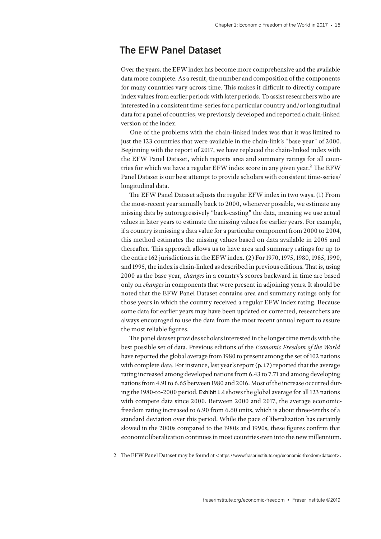## **The EFW Panel Dataset**

Over the years, the EFW index has become more comprehensive and the available data more complete. As a result, the number and composition of the components for many countries vary across time. This makes it difficult to directly compare index values from earlier periods with later periods. To assist researchers who are interested in a consistent time-series for a particular country and/or longitudinal data for a panel of countries, we previously developed and reported a chain-linked version of the index.

One of the problems with the chain-linked index was that it was limited to just the 123 countries that were available in the chain-link's "base year" of 2000. Beginning with the report of 2017, we have replaced the chain-linked index with the EFW Panel Dataset, which reports area and summary ratings for all countries for which we have a regular EFW index score in any given year.<sup>2</sup> The EFW Panel Dataset is our best attempt to provide scholars with consistent time-series/ longitudinal data.

The EFW Panel Dataset adjusts the regular EFW index in two ways. (1) From the most-recent year annually back to 2000, whenever possible, we estimate any missing data by autoregressively "back-casting" the data, meaning we use actual values in later years to estimate the missing values for earlier years. For example, if a country is missing a data value for a particular component from 2000 to 2004, this method estimates the missing values based on data available in 2005 and thereafter. This approach allows us to have area and summary ratings for up to the entire 162 jurisdictions in the EFW index. (2) For 1970, 1975, 1980, 1985, 1990, and 1995, the index is chain-linked as described in previous editions. That is, using 2000 as the base year, *changes* in a country's scores backward in time are based only on *changes* in components that were present in adjoining years. It should be noted that the EFW Panel Dataset contains area and summary ratings only for those years in which the country received a regular EFW index rating. Because some data for earlier years may have been updated or corrected, researchers are always encouraged to use the data from the most recent annual report to assure the most reliable figures.

The panel dataset provides scholars interested in the longer time trends with the best possible set of data. Previous editions of the *Economic Freedom of the World* have reported the global average from 1980 to present among the set of 102 nations with complete data. For instance, last year's report (p. 17) reported that the average rating increased among developed nations from 6.43 to 7.71 and among developing nations from 4.91 to 6.65 between 1980 and 2016. Most of the increase occurred during the 1980-to-2000 period. Exhibit 1.4 shows the global average for all 123 nations with compete data since 2000. Between 2000 and 2017, the average economicfreedom rating increased to 6.90 from 6.60 units, which is about three-tenths of a standard deviation over this period. While the pace of liberalization has certainly slowed in the 2000s compared to the 1980s and 1990s, these figures confirm that economic liberalization continues in most countries even into the new millennium.

<sup>2</sup> The EFW Panel Dataset may be found at <https://www.fraserinstitute.org/economic-freedom/dataset>.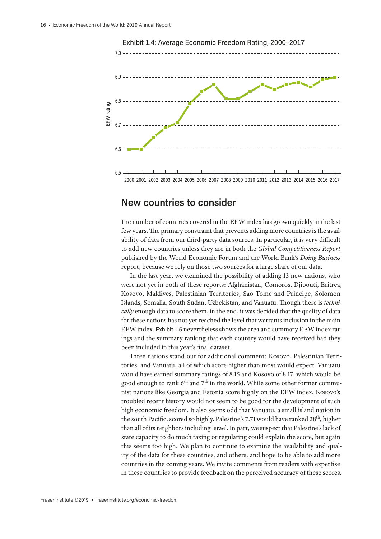

### Exhibit 1.4: Average Economic Freedom Rating, 2000–2017

6.5 2000 2001 2002 2003 2004 2005 2006 2007 2008 2009 2010 2011 2012 2013 2014 2015 2016 2017

## **New countries to consider**

The number of countries covered in the EFW index has grown quickly in the last few years. The primary constraint that prevents adding more countries is the availability of data from our third-party data sources. In particular, it is very difficult to add new countries unless they are in both the *Global Competitiveness Report* published by the World Economic Forum and the World Bank's *Doing Business* report, because we rely on those two sources for a large share of our data.

In the last year, we examined the possibility of adding 13 new nations, who were not yet in both of these reports: Afghanistan, Comoros, Djibouti, Eritrea, Kosovo, Maldives, Palestinian Territories, Sao Tome and Principe, Solomon Islands, Somalia, South Sudan, Uzbekistan, and Vanuatu. Though there is *technically* enough data to score them, in the end, it was decided that the quality of data for these nations has not yet reached the level that warrants inclusion in the main EFW index. Exhibit 1.5 nevertheless shows the area and summary EFW index ratings and the summary ranking that each country would have received had they been included in this year's final dataset.

Three nations stand out for additional comment: Kosovo, Palestinian Territories, and Vanuatu, all of which score higher than most would expect. Vanuatu would have earned summary ratings of 8.15 and Kosovo of 8.17, which would be good enough to rank  $6<sup>th</sup>$  and  $7<sup>th</sup>$  in the world. While some other former communist nations like Georgia and Estonia score highly on the EFW index, Kosovo's troubled recent history would not seem to be good for the development of such high economic freedom. It also seems odd that Vanuatu, a small island nation in the south Pacific, scored so highly. Palestine's 7.71 would have ranked 28<sup>th</sup>, higher than all of its neighbors including Israel. In part, we suspect that Palestine's lack of state capacity to do much taxing or regulating could explain the score, but again this seems too high. We plan to continue to examine the availability and quality of the data for these countries, and others, and hope to be able to add more countries in the coming years. We invite comments from readers with expertise in these countries to provide feedback on the perceived accuracy of these scores.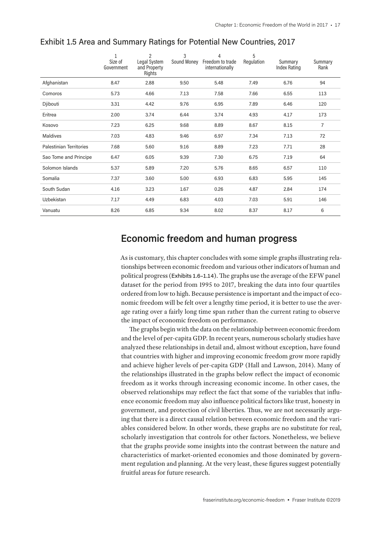|                                | Size of<br>Government | 2<br>Legal System<br>and Property<br>Rights | 3<br>Sound Money | 4<br>Freedom to trade<br>internationally | 5<br>Regulation | Summary<br><b>Index Rating</b> | Summary<br>Rank |
|--------------------------------|-----------------------|---------------------------------------------|------------------|------------------------------------------|-----------------|--------------------------------|-----------------|
| Afghanistan                    | 8.47                  | 2.88                                        | 9.50             | 5.48                                     | 7.49            | 6.76                           | 94              |
| Comoros                        | 5.73                  | 4.66                                        | 7.13             | 7.58                                     | 7.66            | 6.55                           | 113             |
| Djibouti                       | 3.31                  | 4.42                                        | 9.76             | 6.95                                     | 7.89            | 6.46                           | 120             |
| Eritrea                        | 2.00                  | 3.74                                        | 6.44             | 3.74                                     | 4.93            | 4.17                           | 173             |
| Kosovo                         | 7.23                  | 6.25                                        | 9.68             | 8.89                                     | 8.67            | 8.15                           | 7               |
| Maldives                       | 7.03                  | 4.83                                        | 9.46             | 6.97                                     | 7.34            | 7.13                           | 72              |
| <b>Palestinian Territories</b> | 7.68                  | 5.60                                        | 9.16             | 8.89                                     | 7.23            | 7.71                           | 28              |
| Sao Tome and Principe          | 6.47                  | 6.05                                        | 9.39             | 7.30                                     | 6.75            | 7.19                           | 64              |
| Solomon Islands                | 5.37                  | 5.89                                        | 7.20             | 5.76                                     | 8.65            | 6.57                           | 110             |
| Somalia                        | 7.37                  | 3.60                                        | 5.00             | 6.93                                     | 6.83            | 5.95                           | 145             |
| South Sudan                    | 4.16                  | 3.23                                        | 1.67             | 0.26                                     | 4.87            | 2.84                           | 174             |
| <b>Uzbekistan</b>              | 7.17                  | 4.49                                        | 6.83             | 4.03                                     | 7.03            | 5.91                           | 146             |
| Vanuatu                        | 8.26                  | 6.85                                        | 9.34             | 8.02                                     | 8.37            | 8.17                           | 6               |

#### Exhibit 1.5 Area and Summary Ratings for Potential New Countries, 2017

## **Economic freedom and human progress**

As is customary, this chapter concludes with some simple graphs illustrating relationships between economic freedom and various other indicators of human and political progress (Exhibits 1.6–1.14). The graphs use the average of the EFW panel dataset for the period from 1995 to 2017, breaking the data into four quartiles ordered from low to high. Because persistence is important and the impact of economic freedom will be felt over a lengthy time period, it is better to use the average rating over a fairly long time span rather than the current rating to observe the impact of economic freedom on performance.

The graphs begin with the data on the relationship between economic freedom and the level of per-capita GDP. In recent years, numerous scholarly studies have analyzed these relationships in detail and, almost without exception, have found that countries with higher and improving economic freedom grow more rapidly and achieve higher levels of per-capita GDP (Hall and Lawson, 2014). Many of the relationships illustrated in the graphs below reflect the impact of economic freedom as it works through increasing economic income. In other cases, the observed relationships may reflect the fact that some of the variables that influence economic freedom may also influence political factors like trust, honesty in government, and protection of civil liberties. Thus, we are not necessarily arguing that there is a direct causal relation between economic freedom and the variables considered below. In other words, these graphs are no substitute for real, scholarly investigation that controls for other factors. Nonetheless, we believe that the graphs provide some insights into the contrast between the nature and characteristics of market-oriented economies and those dominated by government regulation and planning. At the very least, these figures suggest potentially fruitful areas for future research.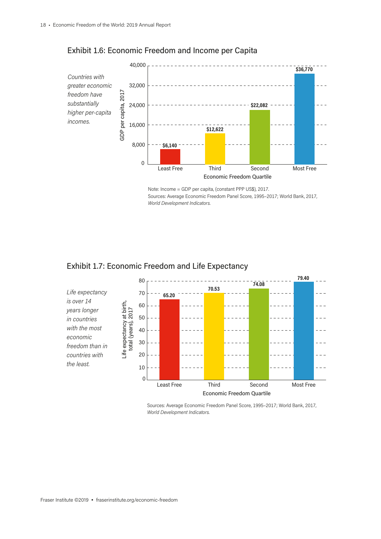

### Exhibit 1.6: Economic Freedom and Income per Capita



### Exhibit 1.7: Economic Freedom and Life Expectancy



Sources: Average Economic Freedom Panel Score, 1995–2017; World Bank, 2017, *World Development Indicators*.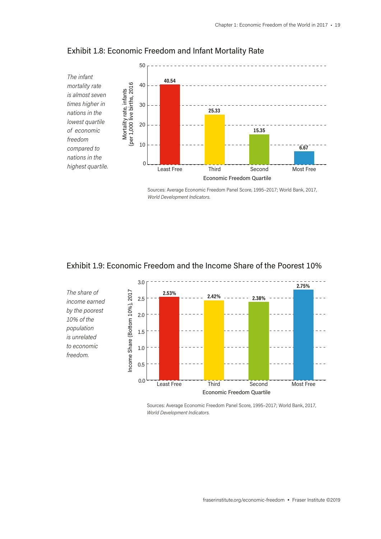

### Exhibit 1.8: Economic Freedom and Infant Mortality Rate

Sources: Average Economic Freedom Panel Score, 1995–2017; World Bank, 2017, *World Development Indicators*.

### Exhibit 1.9: Economic Freedom and the Income Share of the Poorest 10%

*10% of the population is unrelated to economic freedom.* 

3.0 **2.75%***The share of*  ncome Share (Bottom 10%), 2017 Income Share (Bottom 10%), 2017 **2.53% 2.42% 2.38%** 2.5  $\sim$ *income earned by the poorest*  2.0 1.5 1.0 0.5 0.0 Least Free Third Second Most Free Economic Freedom Quartile

> Sources: Average Economic Freedom Panel Score, 1995–2017; World Bank, 2017, *World Development Indicators*.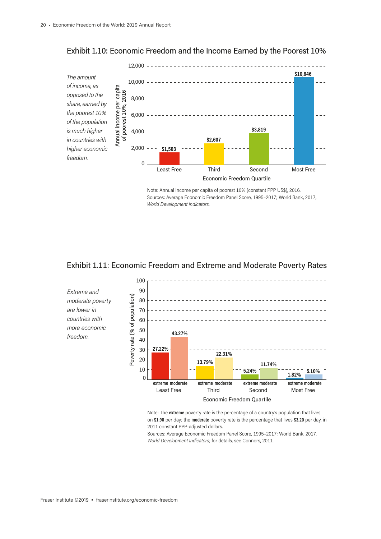

Exhibit 1.10: Economic Freedom and the Income Earned by the Poorest 10%

Note: Annual income per capita of poorest 10% (constant PPP US\$), 2016. Sources: Average Economic Freedom Panel Score, 1995–2017; World Bank, 2017, *World Development Indicators*.





Note: The **extreme** poverty rate is the percentage of a country's population that lives on **\$1.90** per day; the **moderate** poverty rate is the percentage that lives **\$3.20** per day, in 2011 constant PPP-adjusted dollars.

Sources: Average Economic Freedom Panel Score, 1995–2017; World Bank, 2017, *World Development Indicators*; for details, see Connors, 2011.

*freedom.*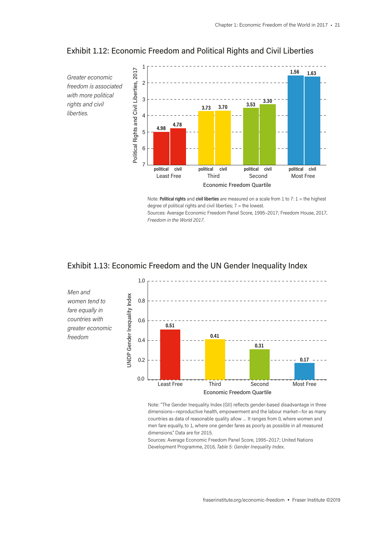

#### Exhibit 1.12: Economic Freedom and Political Rights and Civil Liberties

Note: **Political rights** and **civil liberties** are measured on a scale from 1 to 7: 1 = the highest degree of political rights and civil liberties; 7 = the lowest.

Sources: Average Economic Freedom Panel Score, 1995–2017; Freedom House, 2017, *Freedom in the World 2017*.



0.0

### Exhibit 1.13: Economic Freedom and the UN Gender Inequality Index

Note: "The Gender Inequality Index (GII) reflects gender-based disadvantage in three dimensions—reproductive health, empowerment and the labour market—for as many countries as data of reasonable quality allow … It ranges from 0, where women and men fare equally, to 1, where one gender fares as poorly as possible in all measured dimensions." Data are for 2015.

Least Free Third Second Most Free

Economic Freedom Quartile

Sources: Average Economic Freedom Panel Score, 1995–2017; United Nations Development Programme, 2016, *Table 5: Gender Inequality Index*.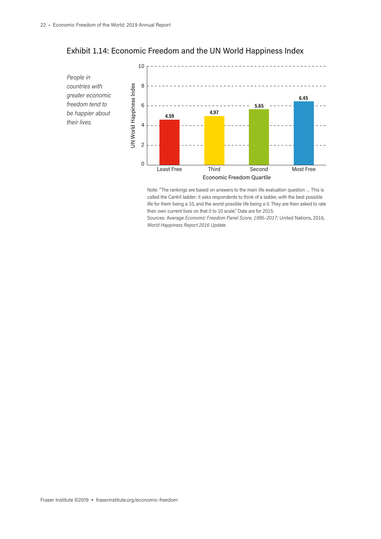

## Exhibit 1.14: Economic Freedom and the UN World Happiness Index

Note: "The rankings are based on answers to the main life evaluation question … This is called the Cantril ladder: it asks respondents to think of a ladder, with the best possible life for them being a 10, and the worst possible life being a 0. They are then asked to rate their own current lives on that 0 to 10 scale." Data are for 2015.

Sources: Average *Economic Freedom Panel Score, 1995–2017*; United Nations, 2016, *World Happiness Report 2016 Update.*